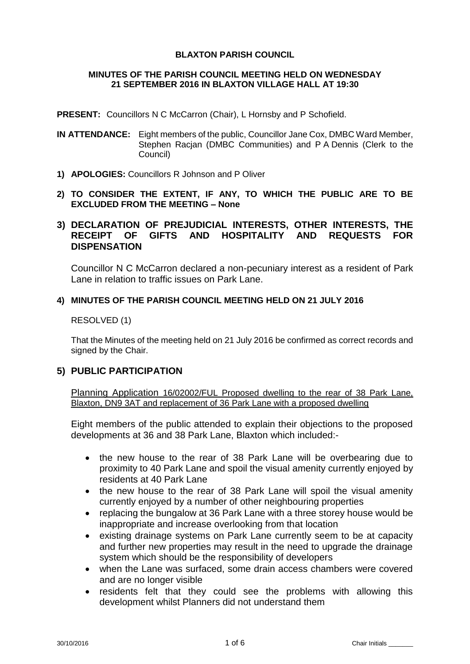## **BLAXTON PARISH COUNCIL**

### **MINUTES OF THE PARISH COUNCIL MEETING HELD ON WEDNESDAY 21 SEPTEMBER 2016 IN BLAXTON VILLAGE HALL AT 19:30**

**PRESENT:** Councillors N C McCarron (Chair), L Hornsby and P Schofield.

- **IN ATTENDANCE:** Eight members of the public, Councillor Jane Cox, DMBC Ward Member, Stephen Racjan (DMBC Communities) and P A Dennis (Clerk to the Council)
- **1) APOLOGIES:** Councillors R Johnson and P Oliver
- **2) TO CONSIDER THE EXTENT, IF ANY, TO WHICH THE PUBLIC ARE TO BE EXCLUDED FROM THE MEETING – None**

# **3) DECLARATION OF PREJUDICIAL INTERESTS, OTHER INTERESTS, THE RECEIPT OF GIFTS AND HOSPITALITY AND REQUESTS FOR DISPENSATION**

Councillor N C McCarron declared a non-pecuniary interest as a resident of Park Lane in relation to traffic issues on Park Lane.

# **4) MINUTES OF THE PARISH COUNCIL MEETING HELD ON 21 JULY 2016**

## RESOLVED (1)

That the Minutes of the meeting held on 21 July 2016 be confirmed as correct records and signed by the Chair.

# **5) PUBLIC PARTICIPATION**

Planning Application 16/02002/FUL Proposed dwelling to the rear of 38 Park Lane, Blaxton, DN9 3AT and replacement of 36 Park Lane with a proposed dwelling

Eight members of the public attended to explain their objections to the proposed developments at 36 and 38 Park Lane, Blaxton which included:-

- the new house to the rear of 38 Park Lane will be overbearing due to proximity to 40 Park Lane and spoil the visual amenity currently enjoyed by residents at 40 Park Lane
- the new house to the rear of 38 Park Lane will spoil the visual amenity currently enjoyed by a number of other neighbouring properties
- replacing the bungalow at 36 Park Lane with a three storey house would be inappropriate and increase overlooking from that location
- existing drainage systems on Park Lane currently seem to be at capacity and further new properties may result in the need to upgrade the drainage system which should be the responsibility of developers
- when the Lane was surfaced, some drain access chambers were covered and are no longer visible
- residents felt that they could see the problems with allowing this development whilst Planners did not understand them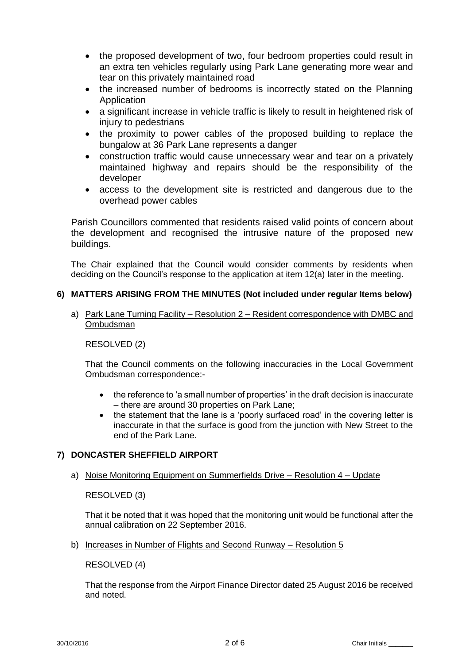- the proposed development of two, four bedroom properties could result in an extra ten vehicles regularly using Park Lane generating more wear and tear on this privately maintained road
- the increased number of bedrooms is incorrectly stated on the Planning **Application**
- a significant increase in vehicle traffic is likely to result in heightened risk of injury to pedestrians
- the proximity to power cables of the proposed building to replace the bungalow at 36 Park Lane represents a danger
- construction traffic would cause unnecessary wear and tear on a privately maintained highway and repairs should be the responsibility of the developer
- access to the development site is restricted and dangerous due to the overhead power cables

Parish Councillors commented that residents raised valid points of concern about the development and recognised the intrusive nature of the proposed new buildings.

The Chair explained that the Council would consider comments by residents when deciding on the Council's response to the application at item 12(a) later in the meeting.

# **6) MATTERS ARISING FROM THE MINUTES (Not included under regular Items below)**

a) Park Lane Turning Facility – Resolution 2 – Resident correspondence with DMBC and Ombudsman

RESOLVED (2)

That the Council comments on the following inaccuracies in the Local Government Ombudsman correspondence:-

- the reference to 'a small number of properties' in the draft decision is inaccurate – there are around 30 properties on Park Lane;
- the statement that the lane is a 'poorly surfaced road' in the covering letter is inaccurate in that the surface is good from the junction with New Street to the end of the Park Lane.

# **7) DONCASTER SHEFFIELD AIRPORT**

## a) Noise Monitoring Equipment on Summerfields Drive – Resolution 4 – Update

RESOLVED (3)

That it be noted that it was hoped that the monitoring unit would be functional after the annual calibration on 22 September 2016.

b) Increases in Number of Flights and Second Runway – Resolution 5

RESOLVED (4)

That the response from the Airport Finance Director dated 25 August 2016 be received and noted.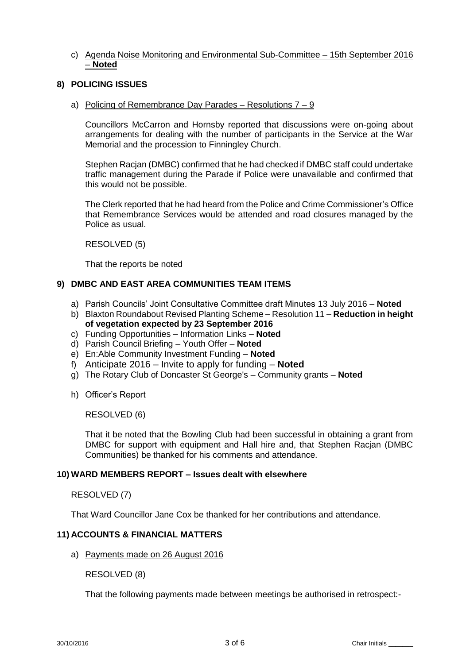### c) Agenda Noise Monitoring and Environmental Sub-Committee – 15th September 2016 – **Noted**

## **8) POLICING ISSUES**

#### a) Policing of Remembrance Day Parades – Resolutions 7 – 9

Councillors McCarron and Hornsby reported that discussions were on-going about arrangements for dealing with the number of participants in the Service at the War Memorial and the procession to Finningley Church.

Stephen Racjan (DMBC) confirmed that he had checked if DMBC staff could undertake traffic management during the Parade if Police were unavailable and confirmed that this would not be possible.

The Clerk reported that he had heard from the Police and Crime Commissioner's Office that Remembrance Services would be attended and road closures managed by the Police as usual.

RESOLVED (5)

That the reports be noted

### **9) DMBC AND EAST AREA COMMUNITIES TEAM ITEMS**

- a) Parish Councils' Joint Consultative Committee draft Minutes 13 July 2016 **Noted**
- b) Blaxton Roundabout Revised Planting Scheme Resolution 11 **Reduction in height of vegetation expected by 23 September 2016**
- c) Funding Opportunities Information Links **Noted**
- d) Parish Council Briefing Youth Offer **Noted**
- e) En:Able Community Investment Funding **Noted**
- f) Anticipate 2016 Invite to apply for funding **Noted**
- g) The Rotary Club of Doncaster St George's Community grants **Noted**
- h) Officer's Report

RESOLVED (6)

That it be noted that the Bowling Club had been successful in obtaining a grant from DMBC for support with equipment and Hall hire and, that Stephen Racjan (DMBC Communities) be thanked for his comments and attendance.

#### **10) WARD MEMBERS REPORT – Issues dealt with elsewhere**

RESOLVED (7)

That Ward Councillor Jane Cox be thanked for her contributions and attendance.

## **11) ACCOUNTS & FINANCIAL MATTERS**

a) Payments made on 26 August 2016

RESOLVED (8)

That the following payments made between meetings be authorised in retrospect:-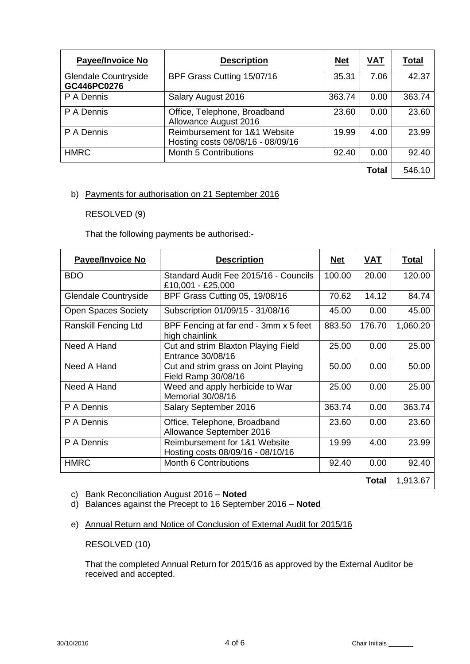| <b>Payee/Invoice No</b>             | <b>Description</b>                                                 | <u>Net</u> | <b>VAT</b>   | <b>Total</b> |
|-------------------------------------|--------------------------------------------------------------------|------------|--------------|--------------|
| Glendale Countryside<br>GC446PC0276 | BPF Grass Cutting 15/07/16                                         | 35.31      | 7.06         | 42.37        |
| P A Dennis                          | Salary August 2016                                                 | 363.74     | 0.00         | 363.74       |
| P A Dennis                          | Office, Telephone, Broadband<br>Allowance August 2016              | 23.60      | 0.00         | 23.60        |
| P A Dennis                          | Reimbursement for 1&1 Website<br>Hosting costs 08/08/16 - 08/09/16 | 19.99      | 4.00         | 23.99        |
| <b>HMRC</b>                         | <b>Month 5 Contributions</b>                                       | 92.40      | 0.00         | 92.40        |
|                                     |                                                                    |            | <b>Total</b> | 546.10       |

## b) Payments for authorisation on 21 September 2016

RESOLVED (9)

That the following payments be authorised:-

| <b>Payee/Invoice No</b>     | <b>Description</b>                                                 | <u>Net</u> | <u>VAT</u>   | <u>Total</u> |
|-----------------------------|--------------------------------------------------------------------|------------|--------------|--------------|
| <b>BDO</b>                  | Standard Audit Fee 2015/16 - Councils<br>£10,001 - £25,000         | 100.00     | 20.00        | 120.00       |
| <b>Glendale Countryside</b> | BPF Grass Cutting 05, 19/08/16                                     | 70.62      | 14.12        | 84.74        |
| <b>Open Spaces Society</b>  | Subscription 01/09/15 - 31/08/16                                   | 45.00      | 0.00         | 45.00        |
| Ranskill Fencing Ltd        | BPF Fencing at far end - 3mm x 5 feet<br>high chainlink            | 883.50     | 176.70       | 1,060.20     |
| Need A Hand                 | Cut and strim Blaxton Playing Field<br>Entrance 30/08/16           | 25.00      | 0.00         | 25.00        |
| Need A Hand                 | Cut and strim grass on Joint Playing<br>Field Ramp 30/08/16        | 50.00      | 0.00         | 50.00        |
| Need A Hand                 | Weed and apply herbicide to War<br>Memorial 30/08/16               | 25.00      | 0.00         | 25.00        |
| P A Dennis                  | Salary September 2016                                              | 363.74     | 0.00         | 363.74       |
| P A Dennis                  | Office, Telephone, Broadband<br>Allowance September 2016           | 23.60      | 0.00         | 23.60        |
| P A Dennis                  | Reimbursement for 1&1 Website<br>Hosting costs 08/09/16 - 08/10/16 | 19.99      | 4.00         | 23.99        |
| <b>HMRC</b>                 | Month 6 Contributions                                              | 92.40      | 0.00         | 92.40        |
|                             |                                                                    |            | <b>Total</b> | 1,913.67     |

c) Bank Reconciliation August 2016 – **Noted**

d) Balances against the Precept to 16 September 2016 – **Noted**

e) Annual Return and Notice of Conclusion of External Audit for 2015/16

RESOLVED (10)

That the completed Annual Return for 2015/16 as approved by the External Auditor be received and accepted.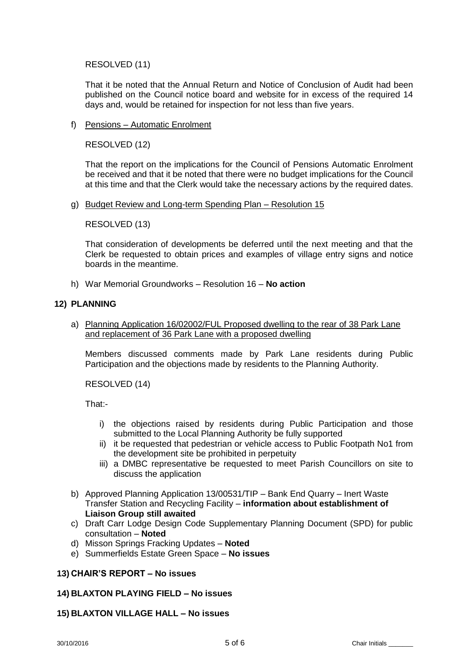RESOLVED (11)

That it be noted that the Annual Return and Notice of Conclusion of Audit had been published on the Council notice board and website for in excess of the required 14 days and, would be retained for inspection for not less than five years.

### f) Pensions – Automatic Enrolment

RESOLVED (12)

That the report on the implications for the Council of Pensions Automatic Enrolment be received and that it be noted that there were no budget implications for the Council at this time and that the Clerk would take the necessary actions by the required dates.

g) Budget Review and Long-term Spending Plan – Resolution 15

RESOLVED (13)

That consideration of developments be deferred until the next meeting and that the Clerk be requested to obtain prices and examples of village entry signs and notice boards in the meantime.

h) War Memorial Groundworks – Resolution 16 – **No action**

### **12) PLANNING**

a) Planning Application 16/02002/FUL Proposed dwelling to the rear of 38 Park Lane and replacement of 36 Park Lane with a proposed dwelling

Members discussed comments made by Park Lane residents during Public Participation and the objections made by residents to the Planning Authority.

RESOLVED (14)

That:-

- i) the objections raised by residents during Public Participation and those submitted to the Local Planning Authority be fully supported
- ii) it be requested that pedestrian or vehicle access to Public Footpath No1 from the development site be prohibited in perpetuity
- iii) a DMBC representative be requested to meet Parish Councillors on site to discuss the application
- b) Approved Planning Application 13/00531/TIP Bank End Quarry Inert Waste Transfer Station and Recycling Facility – **information about establishment of Liaison Group still awaited**
- c) Draft Carr Lodge Design Code Supplementary Planning Document (SPD) for public consultation – **Noted**
- d) Misson Springs Fracking Updates **Noted**
- e) Summerfields Estate Green Space **No issues**

## **13) CHAIR'S REPORT – No issues**

## **14) BLAXTON PLAYING FIELD – No issues**

## **15) BLAXTON VILLAGE HALL – No issues**